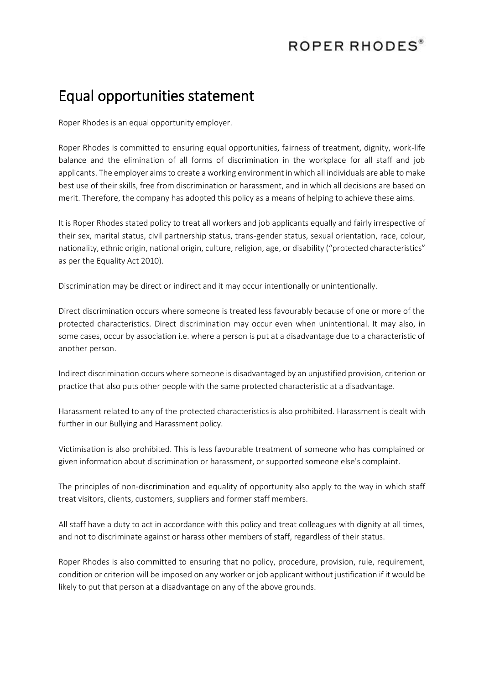## ROPER RHODES®

## Equal opportunities statement

Roper Rhodes is an equal opportunity employer.

Roper Rhodes is committed to ensuring equal opportunities, fairness of treatment, dignity, work-life balance and the elimination of all forms of discrimination in the workplace for all staff and job applicants. The employer aims to create a working environment in which all individuals are able to make best use of their skills, free from discrimination or harassment, and in which all decisions are based on merit. Therefore, the company has adopted this policy as a means of helping to achieve these aims.

It is Roper Rhodes stated policy to treat all workers and job applicants equally and fairly irrespective of their sex, marital status, civil partnership status, trans-gender status, sexual orientation, race, colour, nationality, ethnic origin, national origin, culture, religion, age, or disability ("protected characteristics" as per the Equality Act 2010).

Discrimination may be direct or indirect and it may occur intentionally or unintentionally.

Direct discrimination occurs where someone is treated less favourably because of one or more of the protected characteristics. Direct discrimination may occur even when unintentional. It may also, in some cases, occur by association i.e. where a person is put at a disadvantage due to a characteristic of another person.

Indirect discrimination occurs where someone is disadvantaged by an unjustified provision, criterion or practice that also puts other people with the same protected characteristic at a disadvantage.

Harassment related to any of the protected characteristics is also prohibited. Harassment is dealt with further in our Bullying and Harassment policy.

Victimisation is also prohibited. This is less favourable treatment of someone who has complained or given information about discrimination or harassment, or supported someone else's complaint.

The principles of non-discrimination and equality of opportunity also apply to the way in which staff treat visitors, clients, customers, suppliers and former staff members.

All staff have a duty to act in accordance with this policy and treat colleagues with dignity at all times, and not to discriminate against or harass other members of staff, regardless of their status.

Roper Rhodes is also committed to ensuring that no policy, procedure, provision, rule, requirement, condition or criterion will be imposed on any worker or job applicant without justification if it would be likely to put that person at a disadvantage on any of the above grounds.